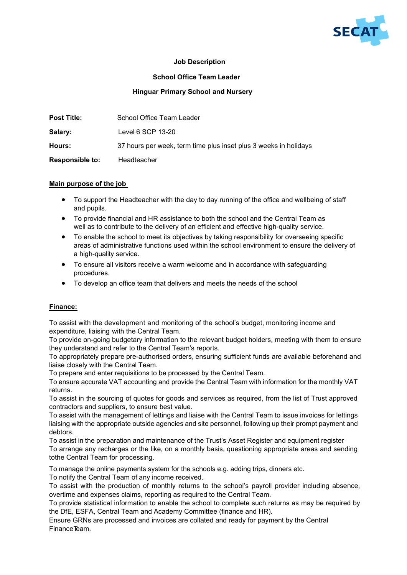

### **Job Description**

#### **School Office Team Leader**

#### **Hinguar Primary School and Nursery**

| <b>Post Title:</b>     | School Office Team Leader                                        |
|------------------------|------------------------------------------------------------------|
| Salary:                | Level 6 SCP 13-20                                                |
| Hours:                 | 37 hours per week, term time plus inset plus 3 weeks in holidays |
| <b>Responsible to:</b> | Headteacher                                                      |

#### **Main purpose of the job**

- To support the Headteacher with the day to day running of the office and wellbeing of staff and pupils.
- To provide financial and HR assistance to both the school and the Central Team as well as to contribute to the delivery of an efficient and effective high-quality service.
- To enable the school to meet its objectives by taking responsibility for overseeing specific areas of administrative functions used within the school environment to ensure the delivery of a high-quality service.
- To ensure all visitors receive a warm welcome and in accordance with safeguarding procedures.
- To develop an office team that delivers and meets the needs of the school

#### **Finance:**

To assist with the development and monitoring of the school's budget, monitoring income and expenditure, liaising with the Central Team.

To provide on-going budgetary information to the relevant budget holders, meeting with them to ensure they understand and refer to the Central Team's reports.

To appropriately prepare pre-authorised orders, ensuring sufficient funds are available beforehand and liaise closely with the Central Team.

To prepare and enter requisitions to be processed by the Central Team.

To ensure accurate VAT accounting and provide the Central Team with information for the monthly VAT returns.

To assist in the sourcing of quotes for goods and services as required, from the list of Trust approved contractors and suppliers, to ensure best value.

To assist with the management of lettings and liaise with the Central Team to issue invoices for lettings liaising with the appropriate outside agencies and site personnel, following up their prompt payment and debtors.

To assist in the preparation and maintenance of the Trust's Asset Register and equipment register To arrange any recharges or the like, on a monthly basis, questioning appropriate areas and sending tothe Central Team for processing.

To manage the online payments system for the schools e.g. adding trips, dinners etc.

To notify the Central Team of any income received.

To assist with the production of monthly returns to the school's payroll provider including absence, overtime and expenses claims, reporting as required to the Central Team.

To provide statistical information to enable the school to complete such returns as may be required by the DfE, ESFA, Central Team and Academy Committee (finance and HR).

Ensure GRNs are processed and invoices are collated and ready for payment by the Central Finance Team.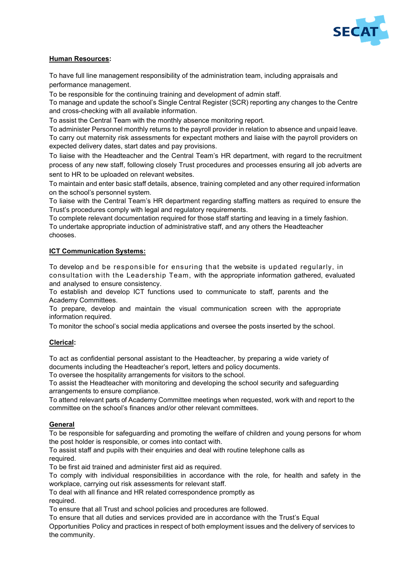

#### **Human Resources:**

To have full line management responsibility of the administration team, including appraisals and performance management.

To be responsible for the continuing training and development of admin staff.

To manage and update the school's Single Central Register (SCR) reporting any changes to the Centre and cross-checking with all available information.

To assist the Central Team with the monthly absence monitoring report.

To administer Personnel monthly returns to the payroll provider in relation to absence and unpaid leave. To carry out maternity risk assessments for expectant mothers and liaise with the payroll providers on expected delivery dates, start dates and pay provisions.

To liaise with the Headteacher and the Central Team's HR department, with regard to the recruitment process of any new staff, following closely Trust procedures and processes ensuring all job adverts are sent to HR to be uploaded on relevant websites.

To maintain and enter basic staff details, absence, training completed and any other required information on the school's personnel system.

To liaise with the Central Team's HR department regarding staffing matters as required to ensure the Trust's procedures comply with legal and regulatory requirements.

To complete relevant documentation required for those staff starting and leaving in a timely fashion. To undertake appropriate induction of administrative staff, and any others the Headteacher chooses.

## **ICT Communication Systems:**

To develop and be responsible for ensuring that the website is updated regularly, in consultation with the Leadership Team, with the appropriate information gathered, evaluated and analysed to ensure consistency.

To establish and develop ICT functions used to communicate to staff, parents and the Academy Committees.

To prepare, develop and maintain the visual communication screen with the appropriate information required.

To monitor the school's social media applications and oversee the posts inserted by the school.

#### **Clerical:**

To act as confidential personal assistant to the Headteacher, by preparing a wide variety of documents including the Headteacher's report, letters and policy documents.

To oversee the hospitality arrangements for visitors to the school.

To assist the Headteacher with monitoring and developing the school security and safeguarding arrangements to ensure compliance.

To attend relevant parts of Academy Committee meetings when requested, work with and report to the committee on the school's finances and/or other relevant committees.

#### **General**

To be responsible for safeguarding and promoting the welfare of children and young persons for whom the post holder is responsible, or comes into contact with.

To assist staff and pupils with their enquiries and deal with routine telephone calls as required.

To be first aid trained and administer first aid as required.

To comply with individual responsibilities in accordance with the role, for health and safety in the workplace, carrying out risk assessments for relevant staff.

To deal with all finance and HR related correspondence promptly as required.

To ensure that all Trust and school policies and procedures are followed.

To ensure that all duties and services provided are in accordance with the Trust's Equal Opportunities Policy and practices in respect of both employment issues and the delivery of services to the community.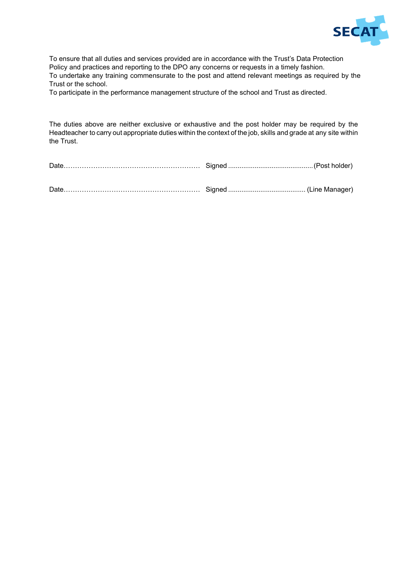

To ensure that all duties and services provided are in accordance with the Trust's Data Protection Policy and practices and reporting to the DPO any concerns or requests in a timely fashion. To undertake any training commensurate to the post and attend relevant meetings as required by the Trust or the school.

To participate in the performance management structure of the school and Trust as directed.

The duties above are neither exclusive or exhaustive and the post holder may be required by the Headteacher to carry out appropriate duties within the context of the job, skills and grade at any site within the Trust.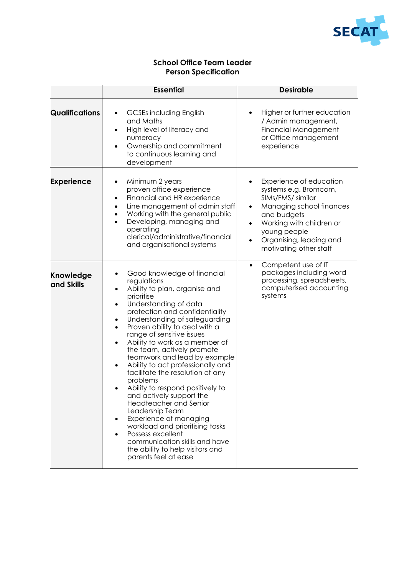

# **School Office Team Leader Person Specification**

|                         | <b>Essential</b>                                                                                                                                                                                                                                                                                                                                                                                                                                                                                                                                                                                                                                                                                                                                       | <b>Desirable</b>                                                                                                                                                                                                                                         |
|-------------------------|--------------------------------------------------------------------------------------------------------------------------------------------------------------------------------------------------------------------------------------------------------------------------------------------------------------------------------------------------------------------------------------------------------------------------------------------------------------------------------------------------------------------------------------------------------------------------------------------------------------------------------------------------------------------------------------------------------------------------------------------------------|----------------------------------------------------------------------------------------------------------------------------------------------------------------------------------------------------------------------------------------------------------|
| <b>Qualifications</b>   | <b>GCSEs including English</b><br>$\bullet$<br>and Maths<br>High level of literacy and<br>٠<br>numeracy<br>Ownership and commitment<br>$\bullet$<br>to continuous learning and<br>development                                                                                                                                                                                                                                                                                                                                                                                                                                                                                                                                                          | Higher or further education<br>$\bullet$<br>/ Admin management,<br><b>Financial Management</b><br>or Office management<br>experience                                                                                                                     |
| <b>Experience</b>       | Minimum 2 years<br>$\bullet$<br>proven office experience<br>Financial and HR experience<br>$\bullet$<br>Line management of admin staff<br>$\bullet$<br>Working with the general public<br>$\bullet$<br>Developing, managing and<br>$\bullet$<br>operating<br>clerical/administrative/financial<br>and organisational systems                                                                                                                                                                                                                                                                                                                                                                                                                           | Experience of education<br>systems e.g. Bromcom,<br>SIMs/FMS/ similar<br>Managing school finances<br>$\bullet$<br>and budgets<br>Working with children or<br>$\bullet$<br>young people<br>Organising, leading and<br>$\bullet$<br>motivating other staff |
| Knowledge<br>and Skills | Good knowledge of financial<br>regulations<br>Ability to plan, organise and<br>prioritise<br>Understanding of data<br>$\bullet$<br>protection and confidentiality<br>Understanding of safeguarding<br>Proven ability to deal with a<br>range of sensitive issues<br>Ability to work as a member of<br>the team, actively promote<br>teamwork and lead by example<br>Ability to act professionally and<br>٠<br>facilitate the resolution of any<br>problems<br>Ability to respond positively to<br>and actively support the<br>Headteacher and Senior<br>Leadership Team<br>Experience of managing<br>workload and prioritising tasks<br>Possess excellent<br>communication skills and have<br>the ability to help visitors and<br>parents feel at ease | Competent use of IT<br>$\bullet$<br>packages including word<br>processing, spreadsheets,<br>computerised accounting<br>systems                                                                                                                           |